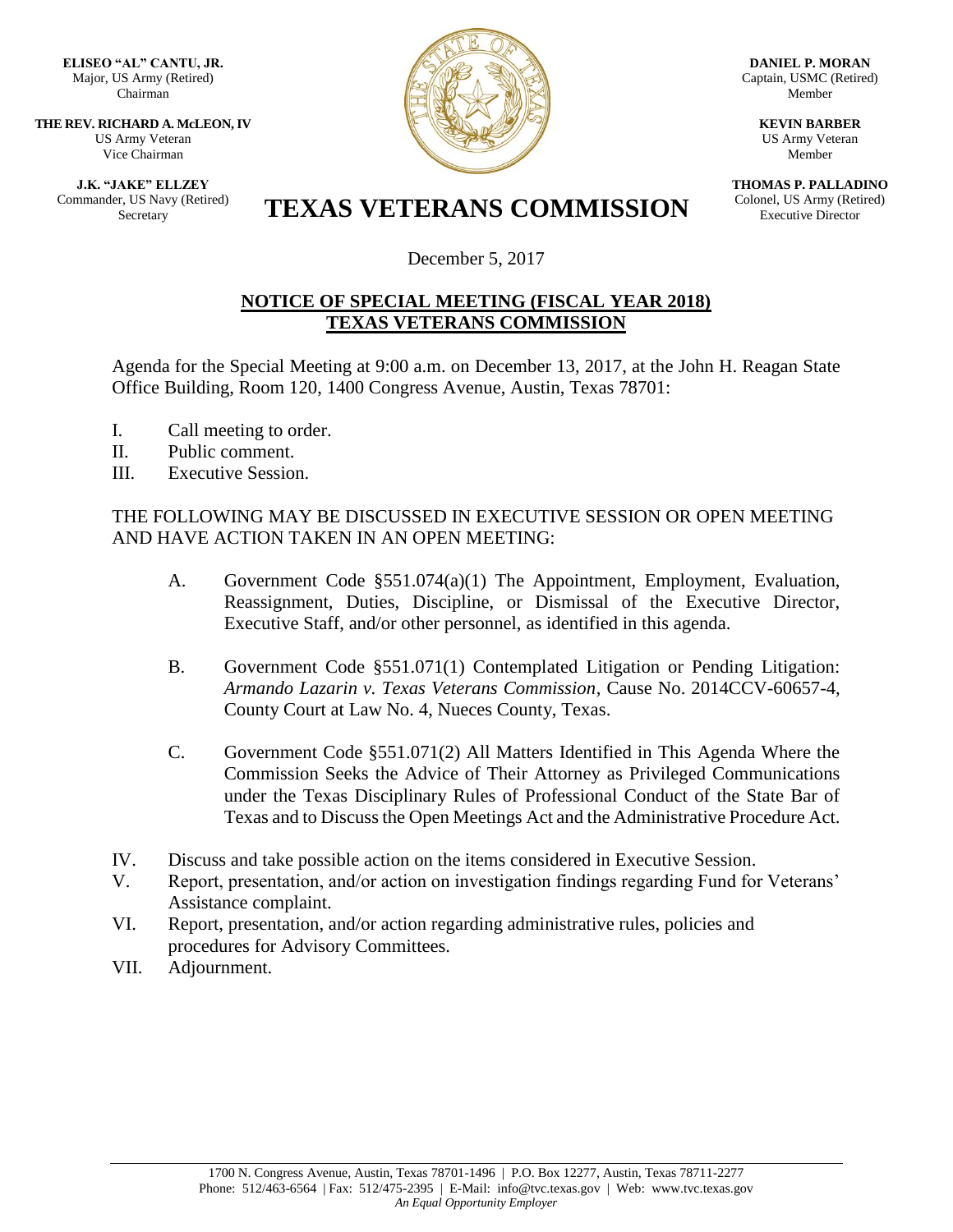**ELISEO "AL" CANTU, JR.** Major, US Army (Retired) Chairman

**THE REV. RICHARD A. McLEON, IV** US Army Veteran Vice Chairman

**J.K. "JAKE" ELLZEY** Commander, US Navy (Retired)



**DANIEL P. MORAN** Captain, USMC (Retired) Member

> **KEVIN BARBER** US Army Veteran Member

**THOMAS P. PALLADINO** Colonel, US Army (Retired) Executive Director

## ET, US Navy (Retired) **TEXAS VETERANS COMMISSION**

December 5, 2017

## **NOTICE OF SPECIAL MEETING (FISCAL YEAR 2018) TEXAS VETERANS COMMISSION**

Agenda for the Special Meeting at 9:00 a.m. on December 13, 2017, at the John H. Reagan State Office Building, Room 120, 1400 Congress Avenue, Austin, Texas 78701:

- I. Call meeting to order.
- II. Public comment.
- III. Executive Session.

## THE FOLLOWING MAY BE DISCUSSED IN EXECUTIVE SESSION OR OPEN MEETING AND HAVE ACTION TAKEN IN AN OPEN MEETING:

- A. Government Code §551.074(a)(1) The Appointment, Employment, Evaluation, Reassignment, Duties, Discipline, or Dismissal of the Executive Director, Executive Staff, and/or other personnel, as identified in this agenda.
- B. Government Code §551.071(1) Contemplated Litigation or Pending Litigation: *Armando Lazarin v. Texas Veterans Commission*, Cause No. 2014CCV-60657-4, County Court at Law No. 4, Nueces County, Texas.
- C. Government Code §551.071(2) All Matters Identified in This Agenda Where the Commission Seeks the Advice of Their Attorney as Privileged Communications under the Texas Disciplinary Rules of Professional Conduct of the State Bar of Texas and to Discuss the Open Meetings Act and the Administrative Procedure Act.
- IV. Discuss and take possible action on the items considered in Executive Session.
- V. Report, presentation, and/or action on investigation findings regarding Fund for Veterans' Assistance complaint.
- VI. Report, presentation, and/or action regarding administrative rules, policies and procedures for Advisory Committees.
- VII. Adjournment.